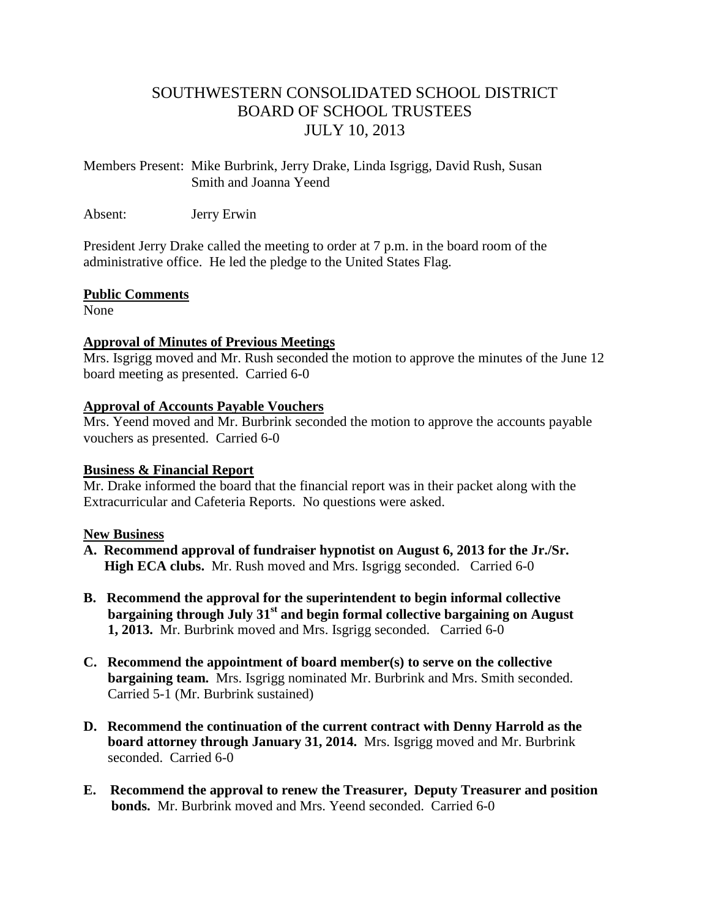## SOUTHWESTERN CONSOLIDATED SCHOOL DISTRICT BOARD OF SCHOOL TRUSTEES JULY 10, 2013

Members Present: Mike Burbrink, Jerry Drake, Linda Isgrigg, David Rush, Susan Smith and Joanna Yeend

Absent: Jerry Erwin

President Jerry Drake called the meeting to order at 7 p.m. in the board room of the administrative office. He led the pledge to the United States Flag.

#### **Public Comments**

None

#### **Approval of Minutes of Previous Meetings**

Mrs. Isgrigg moved and Mr. Rush seconded the motion to approve the minutes of the June 12 board meeting as presented. Carried 6-0

#### **Approval of Accounts Payable Vouchers**

Mrs. Yeend moved and Mr. Burbrink seconded the motion to approve the accounts payable vouchers as presented. Carried 6-0

### **Business & Financial Report**

Mr. Drake informed the board that the financial report was in their packet along with the Extracurricular and Cafeteria Reports. No questions were asked.

### **New Business**

- **A. Recommend approval of fundraiser hypnotist on August 6, 2013 for the Jr./Sr. High ECA clubs.** Mr. Rush moved and Mrs. Isgrigg seconded. Carried 6-0
- **B. Recommend the approval for the superintendent to begin informal collective bargaining through July 31st and begin formal collective bargaining on August 1, 2013.** Mr. Burbrink moved and Mrs. Isgrigg seconded. Carried 6-0
- **C. Recommend the appointment of board member(s) to serve on the collective bargaining team.** Mrs. Isgrigg nominated Mr. Burbrink and Mrs. Smith seconded.Carried 5-1 (Mr. Burbrink sustained)
- **D. Recommend the continuation of the current contract with Denny Harrold as the board attorney through January 31, 2014.** Mrs. Isgrigg moved and Mr. Burbrink seconded. Carried 6-0
- **E. Recommend the approval to renew the Treasurer, Deputy Treasurer and position bonds.** Mr. Burbrink moved and Mrs. Yeend seconded. Carried 6-0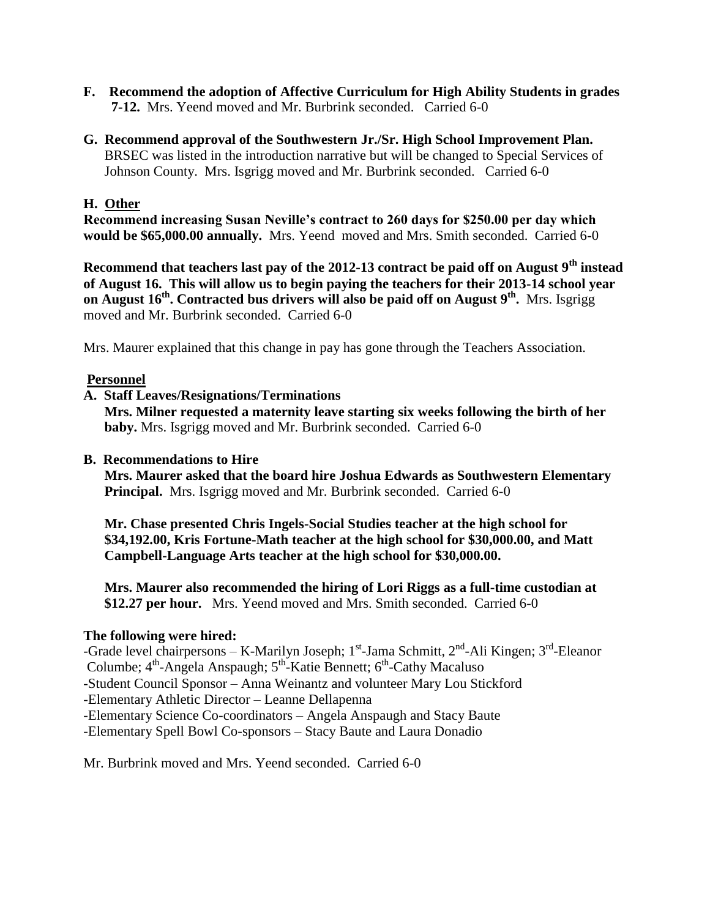- **F. Recommend the adoption of Affective Curriculum for High Ability Students in grades 7-12.** Mrs. Yeend moved and Mr. Burbrink seconded. Carried 6-0
- **G. Recommend approval of the Southwestern Jr./Sr. High School Improvement Plan.** BRSEC was listed in the introduction narrative but will be changed to Special Services of Johnson County. Mrs. Isgrigg moved and Mr. Burbrink seconded. Carried 6-0

#### **H. Other**

**Recommend increasing Susan Neville's contract to 260 days for \$250.00 per day which would be \$65,000.00 annually.** Mrs. Yeend moved and Mrs. Smith seconded. Carried 6-0

**Recommend that teachers last pay of the 2012-13 contract be paid off on August 9th instead of August 16. This will allow us to begin paying the teachers for their 2013-14 school year on August 16th . Contracted bus drivers will also be paid off on August 9th .** Mrs. Isgrigg moved and Mr. Burbrink seconded. Carried 6-0

Mrs. Maurer explained that this change in pay has gone through the Teachers Association.

#### **Personnel**

#### **A. Staff Leaves/Resignations/Terminations**

 **Mrs. Milner requested a maternity leave starting six weeks following the birth of her baby.** Mrs. Isgrigg moved and Mr. Burbrink seconded. Carried 6-0

#### **B. Recommendations to Hire**

 **Mrs. Maurer asked that the board hire Joshua Edwards as Southwestern Elementary Principal.** Mrs. Isgrigg moved and Mr. Burbrink seconded. Carried 6-0

 **Mr. Chase presented Chris Ingels-Social Studies teacher at the high school for \$34,192.00, Kris Fortune-Math teacher at the high school for \$30,000.00, and Matt Campbell-Language Arts teacher at the high school for \$30,000.00.** 

 **Mrs. Maurer also recommended the hiring of Lori Riggs as a full-time custodian at \$12.27 per hour.** Mrs. Yeend moved and Mrs. Smith seconded. Carried 6-0

#### **The following were hired:**

-Grade level chairpersons – K-Marilyn Joseph; 1<sup>st</sup>-Jama Schmitt, 2<sup>nd</sup>-Ali Kingen; 3<sup>rd</sup>-Eleanor Columbe; 4<sup>th</sup>-Angela Anspaugh; 5<sup>th</sup>-Katie Bennett; 6<sup>th</sup>-Cathy Macaluso -Student Council Sponsor – Anna Weinantz and volunteer Mary Lou Stickford -Elementary Athletic Director – Leanne Dellapenna -Elementary Science Co-coordinators – Angela Anspaugh and Stacy Baute -Elementary Spell Bowl Co-sponsors – Stacy Baute and Laura Donadio

Mr. Burbrink moved and Mrs. Yeend seconded. Carried 6-0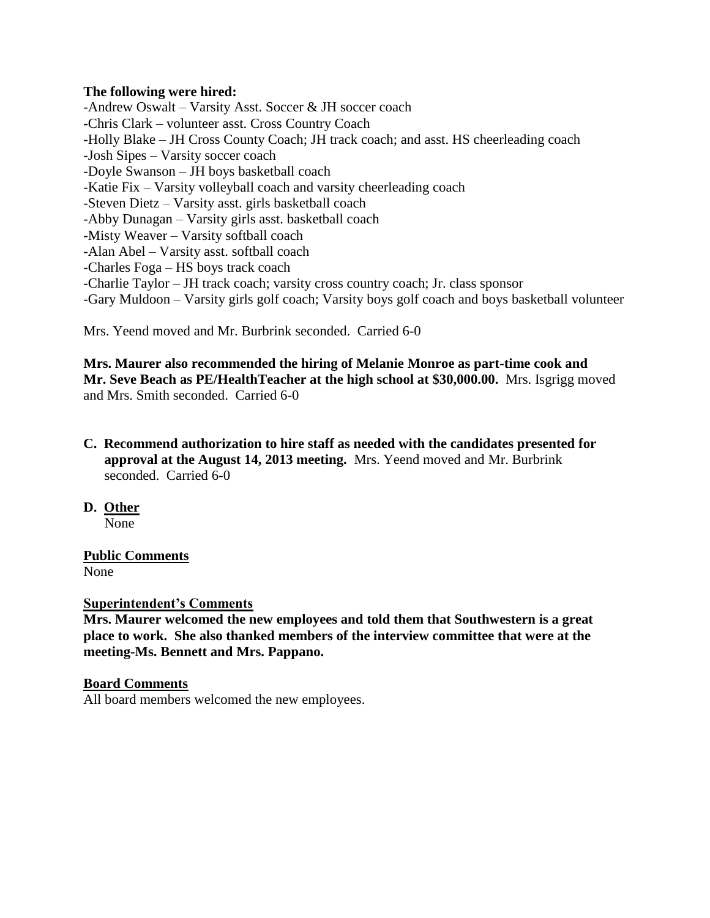#### **The following were hired:**

-Andrew Oswalt – Varsity Asst. Soccer & JH soccer coach -Chris Clark – volunteer asst. Cross Country Coach -Holly Blake – JH Cross County Coach; JH track coach; and asst. HS cheerleading coach -Josh Sipes – Varsity soccer coach -Doyle Swanson – JH boys basketball coach -Katie Fix – Varsity volleyball coach and varsity cheerleading coach -Steven Dietz – Varsity asst. girls basketball coach -Abby Dunagan – Varsity girls asst. basketball coach -Misty Weaver – Varsity softball coach -Alan Abel – Varsity asst. softball coach -Charles Foga – HS boys track coach -Charlie Taylor – JH track coach; varsity cross country coach; Jr. class sponsor -Gary Muldoon – Varsity girls golf coach; Varsity boys golf coach and boys basketball volunteer

Mrs. Yeend moved and Mr. Burbrink seconded. Carried 6-0

**Mrs. Maurer also recommended the hiring of Melanie Monroe as part-time cook and Mr. Seve Beach as PE/HealthTeacher at the high school at \$30,000.00.** Mrs. Isgrigg moved and Mrs. Smith seconded. Carried 6-0

- **C. Recommend authorization to hire staff as needed with the candidates presented for approval at the August 14, 2013 meeting.** Mrs. Yeend moved and Mr. Burbrink seconded. Carried 6-0
- **D. Other**

None

# **Public Comments**

None

### **Superintendent's Comments**

**Mrs. Maurer welcomed the new employees and told them that Southwestern is a great place to work. She also thanked members of the interview committee that were at the meeting-Ms. Bennett and Mrs. Pappano.**

#### **Board Comments**

All board members welcomed the new employees.